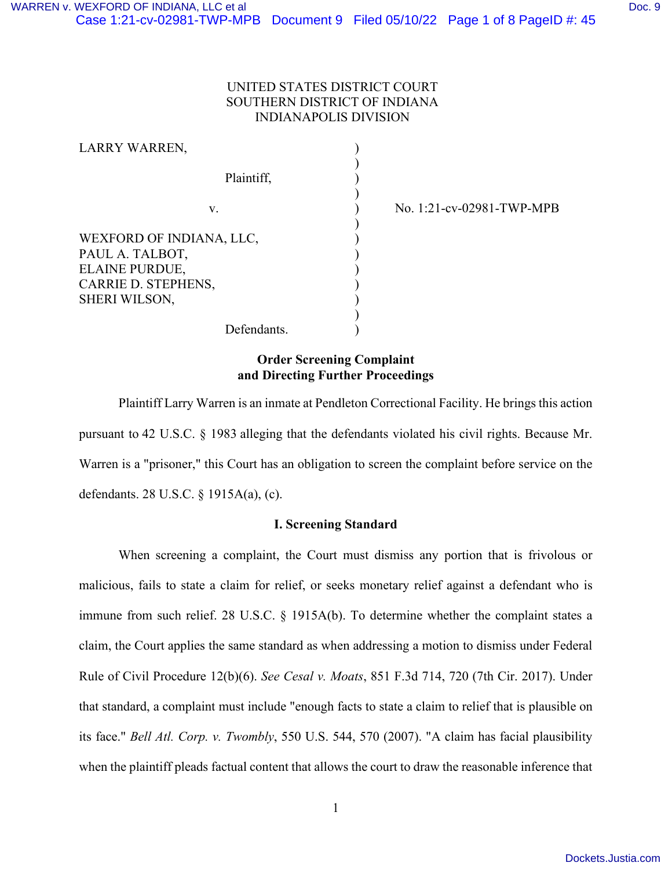# UNITED STATES DISTRICT COURT SOUTHERN DISTRICT OF INDIANA INDIANAPOLIS DIVISION

)

| LARRY WARREN,                                                                                                |  |
|--------------------------------------------------------------------------------------------------------------|--|
| Plaintiff,                                                                                                   |  |
| V.                                                                                                           |  |
| WEXFORD OF INDIANA, LLC,<br>PAUL A. TALBOT,<br>ELAINE PURDUE,<br>CARRIE D. STEPHENS,<br><b>SHERI WILSON,</b> |  |

) No. 1:21-cv-02981-TWP-MPB

Defendants.

## **Order Screening Complaint and Directing Further Proceedings**

Plaintiff Larry Warren is an inmate at Pendleton Correctional Facility. He brings this action pursuant to 42 U.S.C. § 1983 alleging that the defendants violated his civil rights. Because Mr. Warren is a "prisoner," this Court has an obligation to screen the complaint before service on the defendants. 28 U.S.C. § 1915A(a), (c).

### **I. Screening Standard**

When screening a complaint, the Court must dismiss any portion that is frivolous or malicious, fails to state a claim for relief, or seeks monetary relief against a defendant who is immune from such relief. 28 U.S.C. § 1915A(b). To determine whether the complaint states a claim, the Court applies the same standard as when addressing a motion to dismiss under Federal Rule of Civil Procedure 12(b)(6). *See Cesal v. Moats*, 851 F.3d 714, 720 (7th Cir. 2017). Under that standard, a complaint must include "enough facts to state a claim to relief that is plausible on its face." *Bell Atl. Corp. v. Twombly*, 550 U.S. 544, 570 (2007). "A claim has facial plausibility when the plaintiff pleads factual content that allows the court to draw the reasonable inference that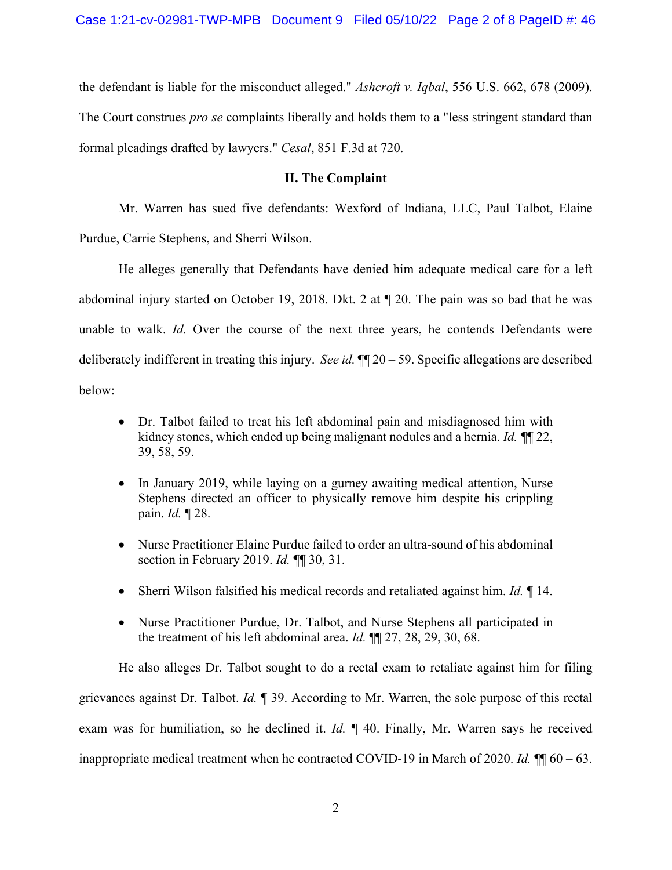the defendant is liable for the misconduct alleged." *Ashcroft v. Iqbal*, 556 U.S. 662, 678 (2009). The Court construes *pro se* complaints liberally and holds them to a "less stringent standard than formal pleadings drafted by lawyers." *Cesal*, 851 F.3d at 720.

## **II. The Complaint**

Mr. Warren has sued five defendants: Wexford of Indiana, LLC, Paul Talbot, Elaine Purdue, Carrie Stephens, and Sherri Wilson.

He alleges generally that Defendants have denied him adequate medical care for a left abdominal injury started on October 19, 2018. Dkt. 2 at ¶ 20. The pain was so bad that he was unable to walk. *Id.* Over the course of the next three years, he contends Defendants were deliberately indifferent in treating this injury. *See id.* ¶¶ 20 – 59. Specific allegations are described below:

- Dr. Talbot failed to treat his left abdominal pain and misdiagnosed him with kidney stones, which ended up being malignant nodules and a hernia. *Id. ¶*¶ 22, 39, 58, 59.
- In January 2019, while laying on a gurney awaiting medical attention, Nurse Stephens directed an officer to physically remove him despite his crippling pain. *Id.* ¶ 28.
- Nurse Practitioner Elaine Purdue failed to order an ultra-sound of his abdominal section in February 2019. *Id.* ¶¶ 30, 31.
- Sherri Wilson falsified his medical records and retaliated against him. *Id.* ¶ 14.
- Nurse Practitioner Purdue, Dr. Talbot, and Nurse Stephens all participated in the treatment of his left abdominal area. *Id.* ¶¶ 27, 28, 29, 30, 68.

He also alleges Dr. Talbot sought to do a rectal exam to retaliate against him for filing grievances against Dr. Talbot. *Id.* ¶ 39. According to Mr. Warren, the sole purpose of this rectal exam was for humiliation, so he declined it. *Id.* ¶ 40. Finally, Mr. Warren says he received inappropriate medical treatment when he contracted COVID-19 in March of 2020. *Id.* ¶¶ 60 – 63.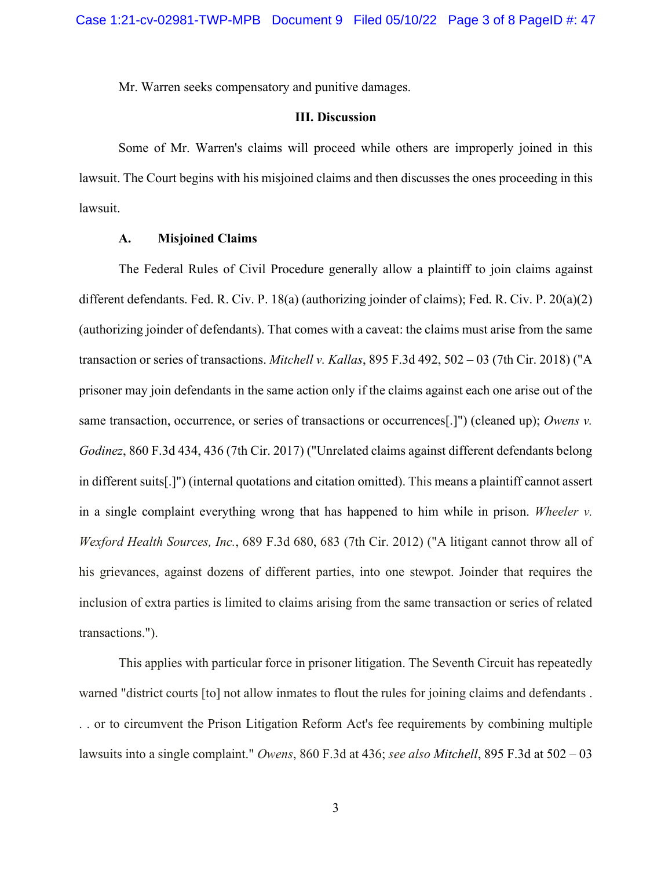Mr. Warren seeks compensatory and punitive damages.

#### **III. Discussion**

Some of Mr. Warren's claims will proceed while others are improperly joined in this lawsuit. The Court begins with his misjoined claims and then discusses the ones proceeding in this lawsuit.

#### **A. Misjoined Claims**

The Federal Rules of Civil Procedure generally allow a plaintiff to join claims against different defendants. Fed. R. Civ. P. 18(a) (authorizing joinder of claims); Fed. R. Civ. P. 20(a)(2) (authorizing joinder of defendants). That comes with a caveat: the claims must arise from the same transaction or series of transactions. *Mitchell v. Kallas*, 895 F.3d 492, 502 – 03 (7th Cir. 2018) ("A prisoner may join defendants in the same action only if the claims against each one arise out of the same transaction, occurrence, or series of transactions or occurrences[.]") (cleaned up); *Owens v. Godinez*, 860 F.3d 434, 436 (7th Cir. 2017) ("Unrelated claims against different defendants belong in different suits[.]") (internal quotations and citation omitted). This means a plaintiff cannot assert in a single complaint everything wrong that has happened to him while in prison. *Wheeler v. Wexford Health Sources, Inc.*, 689 F.3d 680, 683 (7th Cir. 2012) ("A litigant cannot throw all of his grievances, against dozens of different parties, into one stewpot. Joinder that requires the inclusion of extra parties is limited to claims arising from the same transaction or series of related transactions.").

This applies with particular force in prisoner litigation. The Seventh Circuit has repeatedly warned "district courts [to] not allow inmates to flout the rules for joining claims and defendants . . . or to circumvent the Prison Litigation Reform Act's fee requirements by combining multiple lawsuits into a single complaint." *Owens*, 860 F.3d at 436; *see also Mitchell*, 895 F.3d at 502 – 03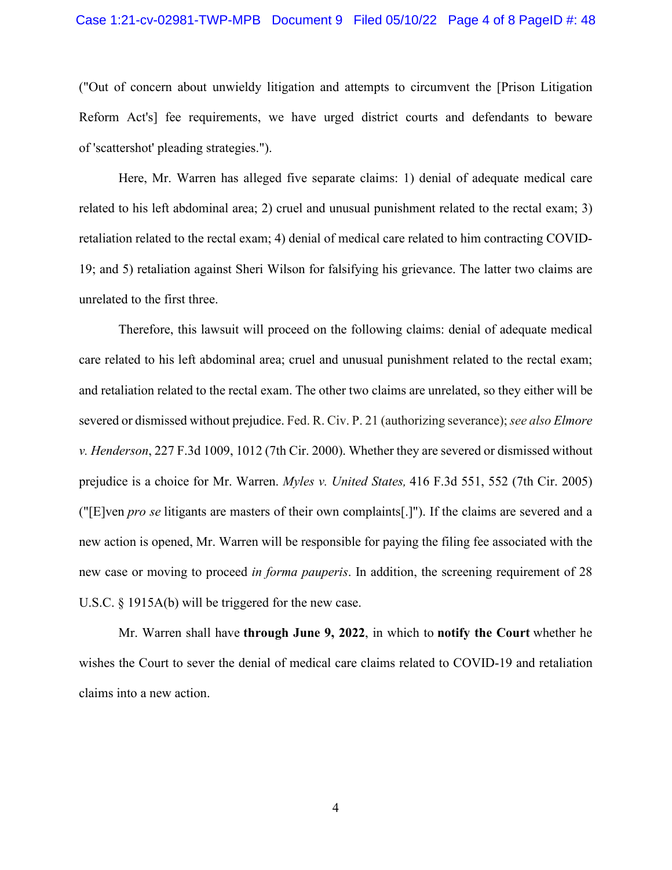#### Case 1:21-cv-02981-TWP-MPB Document 9 Filed 05/10/22 Page 4 of 8 PageID #: 48

("Out of concern about unwieldy litigation and attempts to circumvent the [Prison Litigation Reform Act's] fee requirements, we have urged district courts and defendants to beware of 'scattershot' pleading strategies.").

Here, Mr. Warren has alleged five separate claims: 1) denial of adequate medical care related to his left abdominal area; 2) cruel and unusual punishment related to the rectal exam; 3) retaliation related to the rectal exam; 4) denial of medical care related to him contracting COVID-19; and 5) retaliation against Sheri Wilson for falsifying his grievance. The latter two claims are unrelated to the first three.

Therefore, this lawsuit will proceed on the following claims: denial of adequate medical care related to his left abdominal area; cruel and unusual punishment related to the rectal exam; and retaliation related to the rectal exam. The other two claims are unrelated, so they either will be severed or dismissed without prejudice. Fed. R. Civ. P. 21 (authorizing severance); *see also Elmore v. Henderson*, 227 F.3d 1009, 1012 (7th Cir. 2000). Whether they are severed or dismissed without prejudice is a choice for Mr. Warren. *Myles v. United States,* 416 F.3d 551, 552 (7th Cir. 2005) ("[E]ven *pro se* litigants are masters of their own complaints[.]"). If the claims are severed and a new action is opened, Mr. Warren will be responsible for paying the filing fee associated with the new case or moving to proceed *in forma pauperis*. In addition, the screening requirement of 28 U.S.C. § 1915A(b) will be triggered for the new case.

Mr. Warren shall have **through June 9, 2022**, in which to **notify the Court** whether he wishes the Court to sever the denial of medical care claims related to COVID-19 and retaliation claims into a new action.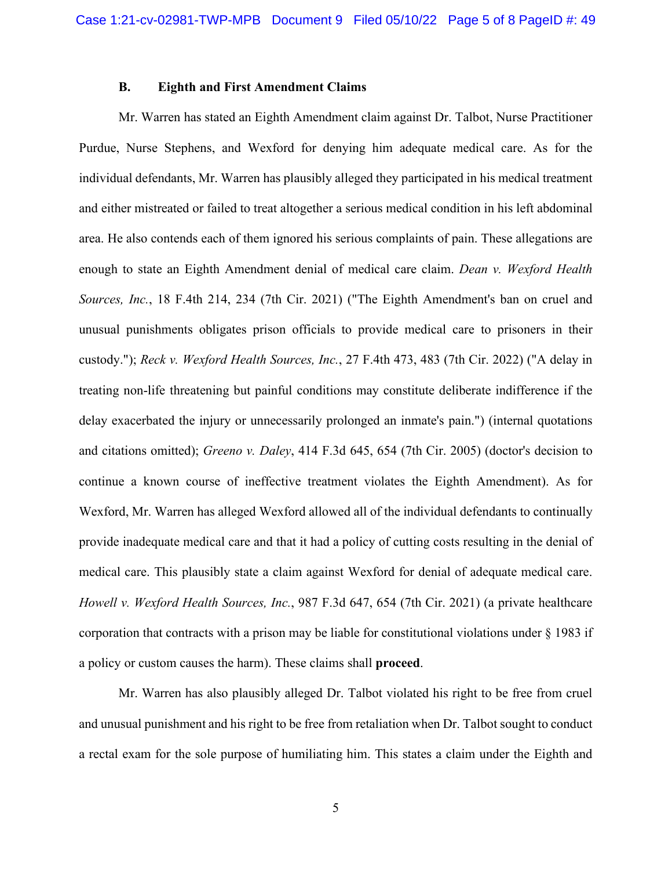#### **B. Eighth and First Amendment Claims**

Mr. Warren has stated an Eighth Amendment claim against Dr. Talbot, Nurse Practitioner Purdue, Nurse Stephens, and Wexford for denying him adequate medical care. As for the individual defendants, Mr. Warren has plausibly alleged they participated in his medical treatment and either mistreated or failed to treat altogether a serious medical condition in his left abdominal area. He also contends each of them ignored his serious complaints of pain. These allegations are enough to state an Eighth Amendment denial of medical care claim. *Dean v. Wexford Health Sources, Inc.*, 18 F.4th 214, 234 (7th Cir. 2021) ("The Eighth Amendment's ban on cruel and unusual punishments obligates prison officials to provide medical care to prisoners in their custody."); *Reck v. Wexford Health Sources, Inc.*, 27 F.4th 473, 483 (7th Cir. 2022) ("A delay in treating non-life threatening but painful conditions may constitute deliberate indifference if the delay exacerbated the injury or unnecessarily prolonged an inmate's pain.") (internal quotations and citations omitted); *Greeno v. Daley*, 414 F.3d 645, 654 (7th Cir. 2005) (doctor's decision to continue a known course of ineffective treatment violates the Eighth Amendment). As for Wexford, Mr. Warren has alleged Wexford allowed all of the individual defendants to continually provide inadequate medical care and that it had a policy of cutting costs resulting in the denial of medical care. This plausibly state a claim against Wexford for denial of adequate medical care. *Howell v. Wexford Health Sources, Inc.*, 987 F.3d 647, 654 (7th Cir. 2021) (a private healthcare corporation that contracts with a prison may be liable for constitutional violations under § 1983 if a policy or custom causes the harm). These claims shall **proceed**.

Mr. Warren has also plausibly alleged Dr. Talbot violated his right to be free from cruel and unusual punishment and his right to be free from retaliation when Dr. Talbot sought to conduct a rectal exam for the sole purpose of humiliating him. This states a claim under the Eighth and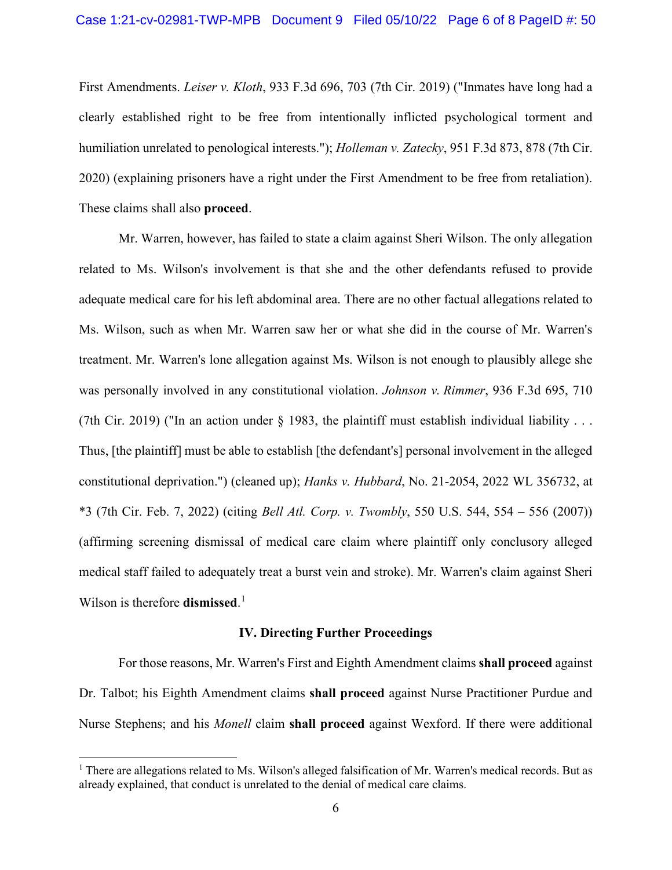First Amendments. *Leiser v. Kloth*, 933 F.3d 696, 703 (7th Cir. 2019) ("Inmates have long had a clearly established right to be free from intentionally inflicted psychological torment and humiliation unrelated to penological interests."); *Holleman v. Zatecky*, 951 F.3d 873, 878 (7th Cir. 2020) (explaining prisoners have a right under the First Amendment to be free from retaliation). These claims shall also **proceed**.

Mr. Warren, however, has failed to state a claim against Sheri Wilson. The only allegation related to Ms. Wilson's involvement is that she and the other defendants refused to provide adequate medical care for his left abdominal area. There are no other factual allegations related to Ms. Wilson, such as when Mr. Warren saw her or what she did in the course of Mr. Warren's treatment. Mr. Warren's lone allegation against Ms. Wilson is not enough to plausibly allege she was personally involved in any constitutional violation. *Johnson v. Rimmer*, 936 F.3d 695, 710 (7th Cir. 2019) ("In an action under  $\S$  1983, the plaintiff must establish individual liability ... Thus, [the plaintiff] must be able to establish [the defendant's] personal involvement in the alleged constitutional deprivation.") (cleaned up); *Hanks v. Hubbard*, No. 21-2054, 2022 WL 356732, at \*3 (7th Cir. Feb. 7, 2022) (citing *Bell Atl. Corp. v. Twombly*, 550 U.S. 544, 554 – 556 (2007)) (affirming screening dismissal of medical care claim where plaintiff only conclusory alleged medical staff failed to adequately treat a burst vein and stroke). Mr. Warren's claim against Sheri Wilson is therefore **dismissed**. [1](#page-5-0)

### **IV. Directing Further Proceedings**

For those reasons, Mr. Warren's First and Eighth Amendment claims **shall proceed** against Dr. Talbot; his Eighth Amendment claims **shall proceed** against Nurse Practitioner Purdue and Nurse Stephens; and his *Monell* claim **shall proceed** against Wexford. If there were additional

<span id="page-5-0"></span><sup>&</sup>lt;sup>1</sup> There are allegations related to Ms. Wilson's alleged falsification of Mr. Warren's medical records. But as already explained, that conduct is unrelated to the denial of medical care claims.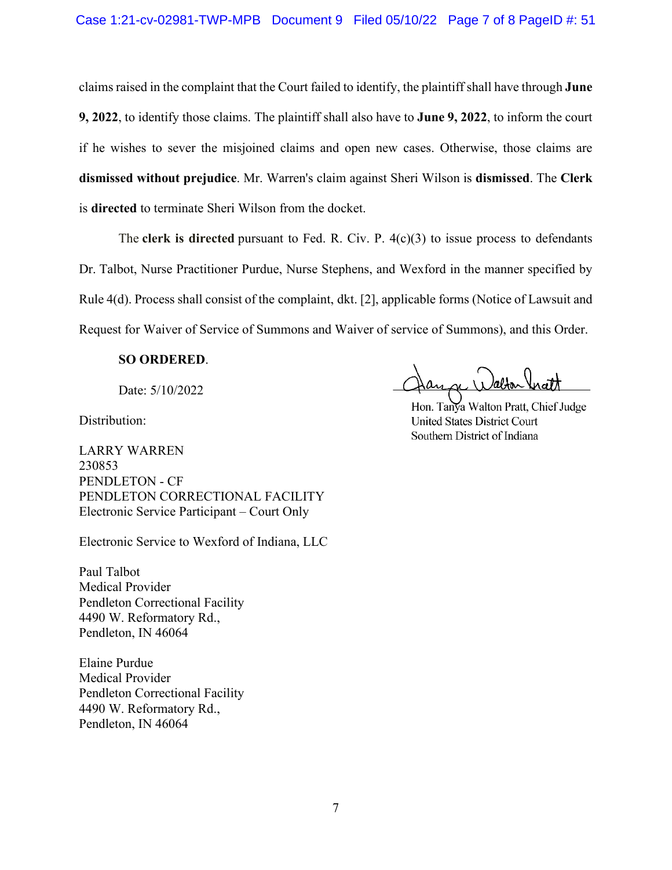claims raised in the complaint that the Court failed to identify, the plaintiff shall have through **June 9, 2022**, to identify those claims. The plaintiff shall also have to **June 9, 2022**, to inform the court if he wishes to sever the misjoined claims and open new cases. Otherwise, those claims are **dismissed without prejudice**. Mr. Warren's claim against Sheri Wilson is **dismissed**. The **Clerk** is **directed** to terminate Sheri Wilson from the docket.

The **clerk is directed** pursuant to Fed. R. Civ. P. 4(c)(3) to issue process to defendants Dr. Talbot, Nurse Practitioner Purdue, Nurse Stephens, and Wexford in the manner specified by Rule 4(d). Process shall consist of the complaint, dkt. [2], applicable forms (Notice of Lawsuit and Request for Waiver of Service of Summons and Waiver of service of Summons), and this Order.

#### **SO ORDERED**.

Date: 5/10/2022

 $\alpha$  ) ) about  $\alpha$ 

Distribution:

LARRY WARREN 230853 PENDLETON - CF PENDLETON CORRECTIONAL FACILITY Electronic Service Participant – Court Only

Electronic Service to Wexford of Indiana, LLC

Paul Talbot Medical Provider Pendleton Correctional Facility 4490 W. Reformatory Rd., Pendleton, IN 46064

Elaine Purdue Medical Provider Pendleton Correctional Facility 4490 W. Reformatory Rd., Pendleton, IN 46064

Hon. Tanya Walton Pratt, Chief Judge **United States District Court** Southern District of Indiana